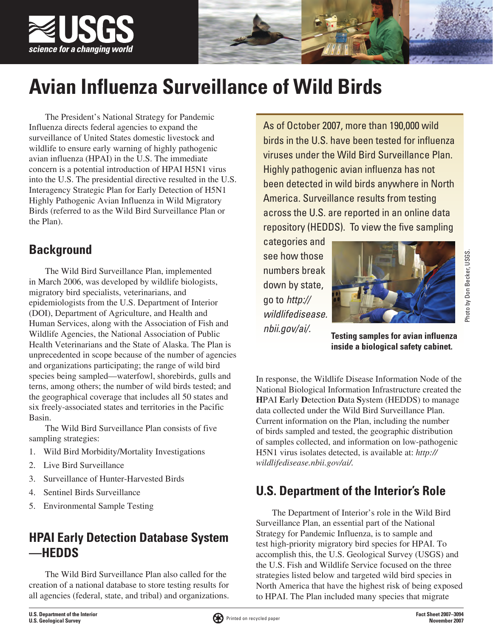

# **Avian Influenza Surveillance of Wild Birds**

The President's National Strategy for Pandemic Influenza directs federal agencies to expand the surveillance of United States domestic livestock and wildlife to ensure early warning of highly pathogenic avian influenza (HPAI) in the U.S. The immediate concern is a potential introduction of HPAI H5N1 virus into the U.S. The presidential directive resulted in the U.S. Interagency Strategic Plan for Early Detection of H5N1 Highly Pathogenic Avian Influenza in Wild Migratory Birds (referred to as the Wild Bird Surveillance Plan or the Plan).

## **Background**

The Wild Bird Surveillance Plan, implemented in March 2006, was developed by wildlife biologists, migratory bird specialists, veterinarians, and epidemiologists from the U.S. Department of Interior (DOI), Department of Agriculture, and Health and Human Services, along with the Association of Fish and Wildlife Agencies, the National Association of Public Health Veterinarians and the State of Alaska. The Plan is unprecedented in scope because of the number of agencies and organizations participating; the range of wild bird species being sampled—waterfowl, shorebirds, gulls and terns, among others; the number of wild birds tested; and the geographical coverage that includes all 50 states and six freely-associated states and territories in the Pacific Basin.

The Wild Bird Surveillance Plan consists of five sampling strategies:

- 1. Wild Bird Morbidity/Mortality Investigations
- 2. Live Bird Surveillance
- 3. Surveillance of Hunter-Harvested Birds
- 4. Sentinel Birds Surveillance
- 5. Environmental Sample Testing

## **HPAI Early Detection Database System —HEDDS**

The Wild Bird Surveillance Plan also called for the creation of a national database to store testing results for all agencies (federal, state, and tribal) and organizations.

As of October 2007, more than 190,000 wild birds in the U.S. have been tested for influenza viruses under the Wild Bird Surveillance Plan. Highly pathogenic avian influenza has not been detected in wild birds anywhere in North America. Surveillance results from testing across the U.S. are reported in an online data repository (HEDDS). To view the five sampling

categories and see how those numbers break down by state, go to *[http://](http://wildlifedisease.nbii.gov/ai/) [wildlifedisease.](http://wildlifedisease.nbii.gov/ai/) [nbii.gov/ai/](http://wildlifedisease.nbii.gov/ai/).*



Photo by Don Becker, USGS. Photo by Don Becker, USGS.

**Testing samples for avian influenza inside a biological safety cabinet.**

In response, the Wildlife Disease Information Node of the National Biological Information Infrastructure created the **H**PAI **E**arly **D**etection **D**ata **S**ystem (HEDDS) to manage data collected under the Wild Bird Surveillance Plan. Current information on the Plan, including the number of birds sampled and tested, the geographic distribution of samples collected, and information on low-pathogenic H5N1 virus isolates detected, is available at: *[http://](http://wildlifedisease.nbii.gov/ai/) [wildlifedisease.nbii.gov/ai/.](http://wildlifedisease.nbii.gov/ai/)*

## **U.S. Department of the Interior's Role**

The Department of Interior's role in the Wild Bird Surveillance Plan, an essential part of the National Strategy for Pandemic Influenza, is to sample and test high-priority migratory bird species for HPAI. To accomplish this, the U.S. Geological Survey (USGS) and the U.S. Fish and Wildlife Service focused on the three strategies listed below and targeted wild bird species in North America that have the highest risk of being exposed to HPAI. The Plan included many species that migrate

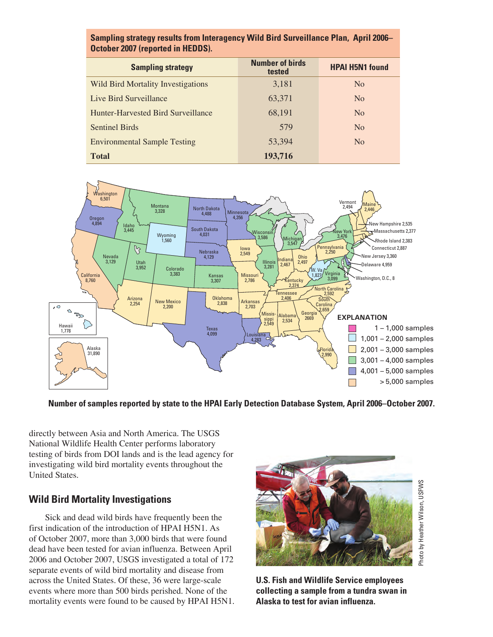| Sampling strategy results from Interagency Wild Bird Surveillance Plan, April 2006- |  |
|-------------------------------------------------------------------------------------|--|
| October 2007 (reported in HEDDS).                                                   |  |

| <b>Sampling strategy</b>                  | <b>Number of birds</b><br>tested | <b>HPAI H5N1 found</b> |
|-------------------------------------------|----------------------------------|------------------------|
| Wild Bird Mortality Investigations        | 3,181                            | N <sub>0</sub>         |
| Live Bird Surveillance                    | 63,371                           | N <sub>0</sub>         |
| <b>Hunter-Harvested Bird Surveillance</b> | 68,191                           | N <sub>0</sub>         |
| <b>Sentinel Birds</b>                     | 579                              | N <sub>0</sub>         |
| <b>Environmental Sample Testing</b>       | 53,394                           | N <sub>0</sub>         |
| <b>Total</b>                              | 193,716                          |                        |



**Number of samples reported by state to the HPAI Early Detection Database System, April 2006–October 2007.** 

directly between Asia and North America. The USGS National Wildlife Health Center performs laboratory testing of birds from DOI lands and is the lead agency for investigating wild bird mortality events throughout the United States.

#### **Wild Bird Mortality Investigations**

Sick and dead wild birds have frequently been the first indication of the introduction of HPAI H5N1. As of October 2007, more than 3,000 birds that were found dead have been tested for avian influenza. Between April 2006 and October 2007, USGS investigated a total of 172 separate events of wild bird mortality and disease from across the United States. Of these, 36 were large-scale events where more than 500 birds perished. None of the mortality events were found to be caused by HPAI H5N1.



**U.S. Fish and Wildlife Service employees collecting a sample from a tundra swan in Alaska to test for avian influenza.**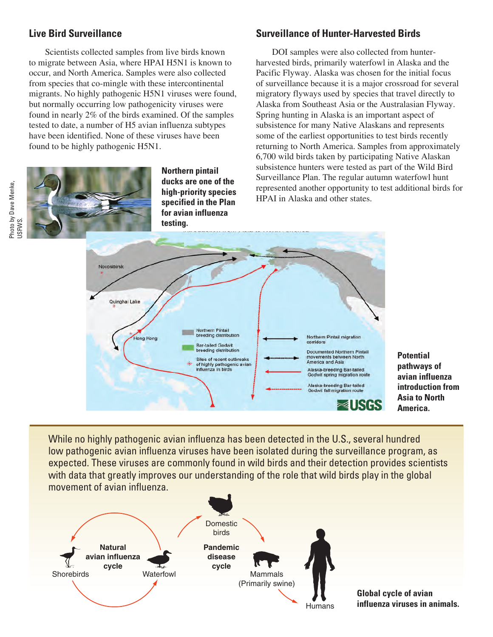#### **Live Bird Surveillance**

Scientists collected samples from live birds known to migrate between Asia, where HPAI H5N1 is known to occur, and North America. Samples were also collected from species that co-mingle with these intercontinental migrants. No highly pathogenic H5N1 viruses were found, but normally occurring low pathogenicity viruses were found in nearly 2% of the birds examined. Of the samples tested to date, a number of H5 avian influenza subtypes have been identified. None of these viruses have been found to be highly pathogenic H5N1.

> **Northern pintail ducks are one of the high-priority species specified in the Plan for avian influenza testing.**

#### **Surveillance of Hunter-Harvested Birds**

DOI samples were also collected from hunterharvested birds, primarily waterfowl in Alaska and the Pacific Flyway. Alaska was chosen for the initial focus of surveillance because it is a major crossroad for several migratory flyways used by species that travel directly to Alaska from Southeast Asia or the Australasian Flyway. Spring hunting in Alaska is an important aspect of subsistence for many Native Alaskans and represents some of the earliest opportunities to test birds recently returning to North America. Samples from approximately 6,700 wild birds taken by participating Native Alaskan subsistence hunters were tested as part of the Wild Bird Surveillance Plan. The regular autumn waterfowl hunt represented another opportunity to test additional birds for HPAI in Alaska and other states.



**Potential pathways of avian influenza introduction from Asia to North America.**

While no highly pathogenic avian influenza has been detected in the U.S., several hundred low pathogenic avian influenza viruses have been isolated during the surveillance program, as expected. These viruses are commonly found in wild birds and their detection provides scientists with data that greatly improves our understanding of the role that wild birds play in the global movement of avian influenza.



**Global cycle of avian influenza viruses in animals.**